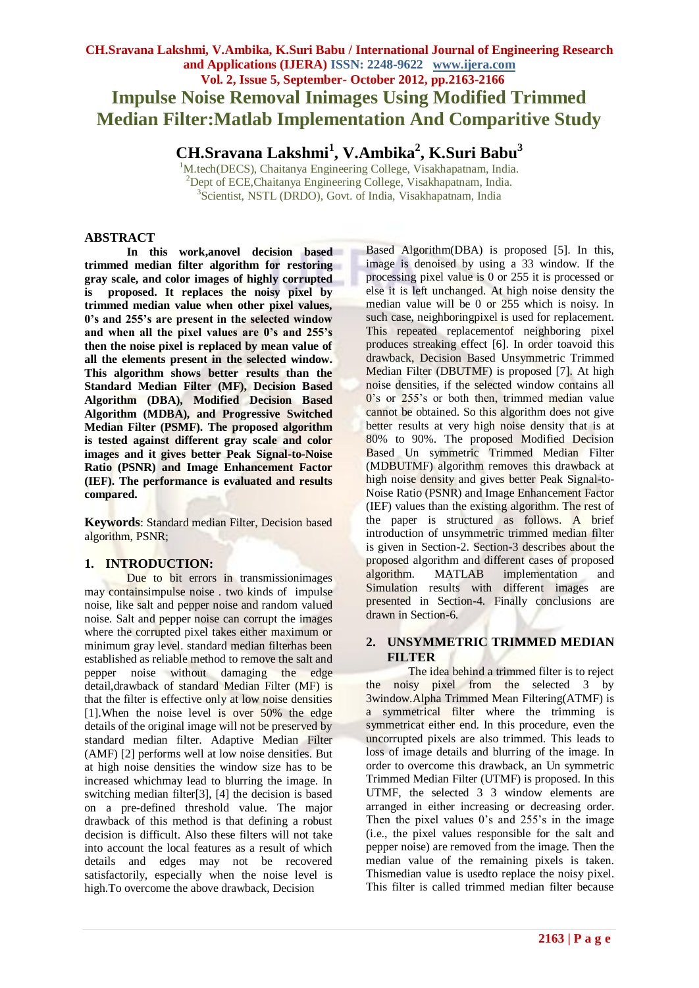# **CH.Sravana Lakshmi, V.Ambika, K.Suri Babu / International Journal of Engineering Research and Applications (IJERA) ISSN: 2248-9622 www.ijera.com Vol. 2, Issue 5, September- October 2012, pp.2163-2166 Impulse Noise Removal Inimages Using Modified Trimmed Median Filter:Matlab Implementation And Comparitive Study**

**CH.Sravana Lakshmi<sup>1</sup> , V.Ambika<sup>2</sup> , K.Suri Babu<sup>3</sup>**

<sup>1</sup>M.tech(DECS), Chaitanya Engineering College, Visakhapatnam, India. <sup>2</sup>Dept of ECE, Chaitanya Engineering College, Visakhapatnam, India. 3 Scientist, NSTL (DRDO), Govt. of India, Visakhapatnam, India

### **ABSTRACT**

**In this work,anovel decision based trimmed median filter algorithm for restoring gray scale, and color images of highly corrupted is proposed. It replaces the noisy pixel by trimmed median value when other pixel values, 0's and 255's are present in the selected window and when all the pixel values are 0's and 255's then the noise pixel is replaced by mean value of all the elements present in the selected window. This algorithm shows better results than the Standard Median Filter (MF), Decision Based Algorithm (DBA), Modified Decision Based Algorithm (MDBA), and Progressive Switched Median Filter (PSMF). The proposed algorithm is tested against different gray scale and color images and it gives better Peak Signal-to-Noise Ratio (PSNR) and Image Enhancement Factor (IEF). The performance is evaluated and results compared.**

**Keywords**: Standard median Filter, Decision based algorithm, PSNR;

# **1. INTRODUCTION:**

Due to bit errors in transmissionimages may containsimpulse noise . two kinds of impulse noise, like salt and pepper noise and random valued noise. Salt and pepper noise can corrupt the images where the corrupted pixel takes either maximum or minimum gray level. standard median filterhas been established as reliable method to remove the salt and pepper noise without damaging the edge detail,drawback of standard Median Filter (MF) is that the filter is effective only at low noise densities [1].When the noise level is over 50% the edge details of the original image will not be preserved by standard median filter. Adaptive Median Filter (AMF) [2] performs well at low noise densities. But at high noise densities the window size has to be increased whichmay lead to blurring the image. In switching median filter[3], [4] the decision is based on a pre-defined threshold value. The major drawback of this method is that defining a robust decision is difficult. Also these filters will not take into account the local features as a result of which details and edges may not be recovered satisfactorily, especially when the noise level is high.To overcome the above drawback, Decision

Based Algorithm(DBA) is proposed [5]. In this, image is denoised by using a 33 window. If the processing pixel value is 0 or 255 it is processed or else it is left unchanged. At high noise density the median value will be 0 or 255 which is noisy. In such case, neighboringpixel is used for replacement. This repeated replacementof neighboring pixel produces streaking effect [6]. In order toavoid this drawback, Decision Based Unsymmetric Trimmed Median Filter (DBUTMF) is proposed [7]. At high noise densities, if the selected window contains all 0's or 255's or both then, trimmed median value cannot be obtained. So this algorithm does not give better results at very high noise density that is at 80% to 90%. The proposed Modified Decision Based Un symmetric Trimmed Median Filter (MDBUTMF) algorithm removes this drawback at high noise density and gives better Peak Signal-to-Noise Ratio (PSNR) and Image Enhancement Factor (IEF) values than the existing algorithm. The rest of the paper is structured as follows. A brief introduction of unsymmetric trimmed median filter is given in Section-2. Section-3 describes about the proposed algorithm and different cases of proposed algorithm. MATLAB implementation and Simulation results with different images are presented in Section-4. Finally conclusions are drawn in Section-6.

# **2. UNSYMMETRIC TRIMMED MEDIAN FILTER**

The idea behind a trimmed filter is to reject the noisy pixel from the selected 3 by 3window.Alpha Trimmed Mean Filtering(ATMF) is a symmetrical filter where the trimming is symmetricat either end. In this procedure, even the uncorrupted pixels are also trimmed. This leads to loss of image details and blurring of the image. In order to overcome this drawback, an Un symmetric Trimmed Median Filter (UTMF) is proposed. In this UTMF, the selected 3 3 window elements are arranged in either increasing or decreasing order. Then the pixel values 0's and 255's in the image (i.e., the pixel values responsible for the salt and pepper noise) are removed from the image. Then the median value of the remaining pixels is taken. Thismedian value is usedto replace the noisy pixel. This filter is called trimmed median filter because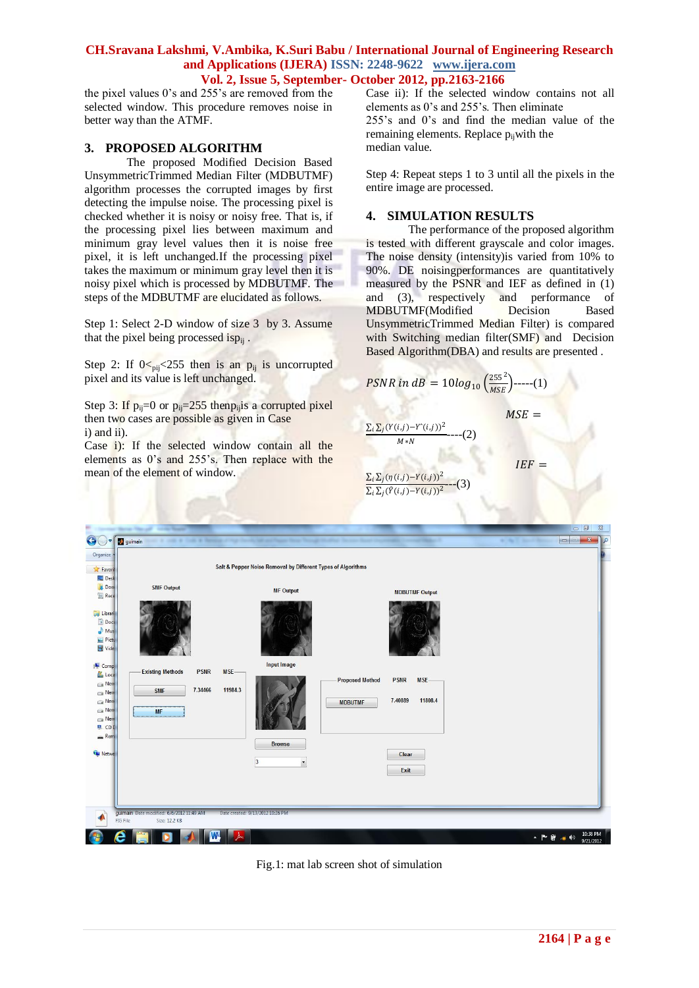#### **CH.Sravana Lakshmi, V.Ambika, K.Suri Babu / International Journal of Engineering Research and Applications (IJERA) ISSN: 2248-9622 www.ijera.com Vol. 2, Issue 5, September- October 2012, pp.2163-2166**

the pixel values 0's and 255's are removed from the selected window. This procedure removes noise in better way than the ATMF.

#### **3. PROPOSED ALGORITHM**

The proposed Modified Decision Based UnsymmetricTrimmed Median Filter (MDBUTMF) algorithm processes the corrupted images by first detecting the impulse noise. The processing pixel is checked whether it is noisy or noisy free. That is, if the processing pixel lies between maximum and minimum gray level values then it is noise free pixel, it is left unchanged.If the processing pixel takes the maximum or minimum gray level then it is noisy pixel which is processed by MDBUTMF. The steps of the MDBUTMF are elucidated as follows.

Step 1: Select 2-D window of size 3 by 3. Assume that the pixel being processed is $p_{ij}$ .

Step 2: If  $0 \le p_{ij} \le 255$  then is an  $p_{ij}$  is uncorrupted pixel and its value is left unchanged.

Step 3: If  $p_{ii}=0$  or  $p_{ii}=255$  then  $p_{ii}$  a corrupted pixel then two cases are possible as given in Case i) and ii).

Case i): If the selected window contain all the elements as 0's and 255's. Then replace with the mean of the element of window.

Case ii): If the selected window contains not all elements as 0's and 255's. Then eliminate 255's and 0's and find the median value of the remaining elements. Replace  $p_{ii}$  with the median value.

Step 4: Repeat steps 1 to 3 until all the pixels in the entire image are processed.

#### **4. SIMULATION RESULTS**

The performance of the proposed algorithm is tested with different grayscale and color images. The noise density (intensity)is varied from 10% to 90%. DE noisingperformances are quantitatively measured by the PSNR and IEF as defined in (1) and (3), respectively and performance of MDBUTMF(Modified Decision Based UnsymmetricTrimmed Median Filter) is compared with Switching median filter(SMF) and Decision Based Algorithm(DBA) and results are presented .

 $MSE =$ 

 $IEF =$ 

$$
PSNR \text{ in } dB = 10 \log_{10} \left( \frac{255^2}{MSE} \right) \text{---}(1)
$$

$$
\Sigma_i \Sigma_j (Y(i,j)-Y^*(i,j))^2 \qquad \qquad (2)
$$

 $M*N$ 

 $\sum_i \sum_j (\eta(i,j) - Y(i,j))^2$  $\sum_i \sum_j (\hat{Y}(i,j)-Y(i,j))^2$  $-(-3)$ 

| Organize                                            |                                        |                                 | Salt & Pepper Noise Removal by Different Types of Algorithms |                                             |  |
|-----------------------------------------------------|----------------------------------------|---------------------------------|--------------------------------------------------------------|---------------------------------------------|--|
| <b>X</b> Favori<br>Desk                             |                                        |                                 |                                                              |                                             |  |
| <b>Dow</b><br><b>Rece</b>                           | <b>SMF Output</b>                      |                                 | <b>MF Output</b>                                             | <b>MDBUTMF Output</b>                       |  |
| Librari<br>Doct<br>$\bigwedge$ Mus<br>Picty<br>Vide |                                        |                                 |                                                              |                                             |  |
| Comp<br>Loca                                        | <b>Existing Methods</b><br><b>PSNR</b> | <b>Input Image</b><br>MSE-      |                                                              |                                             |  |
| New<br>New<br>New<br>New<br>New<br><b>恩 CDI</b>     | 7.34466<br><b>SMF</b><br><b>MF</b>     | 11984.3                         | <b>Proposed Method</b><br><b>MDBUTMF</b>                     | <b>PSNR</b><br>$MSE-$<br>7.40889<br>11808.4 |  |
| Rem<br><b>Gu</b> Netwo                              |                                        | <b>Browse</b><br>$\overline{3}$ | $\overline{\phantom{a}}$                                     | Clear<br>Exit                               |  |
|                                                     |                                        |                                 |                                                              |                                             |  |

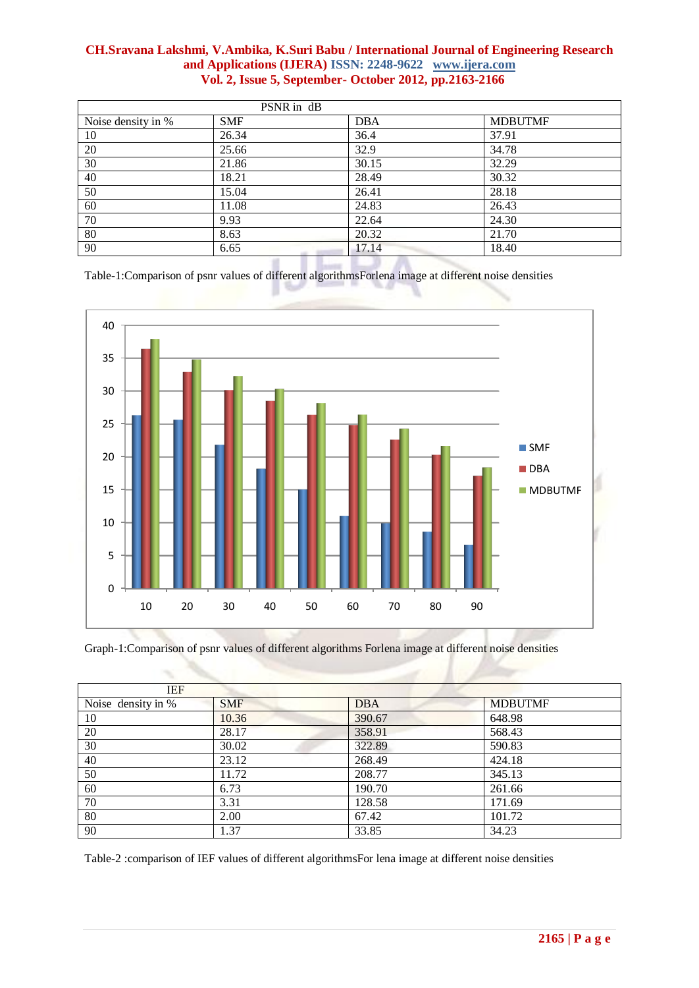# **CH.Sravana Lakshmi, V.Ambika, K.Suri Babu / International Journal of Engineering Research and Applications (IJERA) ISSN: 2248-9622 www.ijera.com Vol. 2, Issue 5, September- October 2012, pp.2163-2166**

| PSNR in dB         |            |            |                |  |  |  |
|--------------------|------------|------------|----------------|--|--|--|
| Noise density in % | <b>SMF</b> | <b>DBA</b> | <b>MDBUTMF</b> |  |  |  |
| 10                 | 26.34      | 36.4       | 37.91          |  |  |  |
| 20                 | 25.66      | 32.9       | 34.78          |  |  |  |
| 30                 | 21.86      | 30.15      | 32.29          |  |  |  |
| 40                 | 18.21      | 28.49      | 30.32          |  |  |  |
| 50                 | 15.04      | 26.41      | 28.18          |  |  |  |
| 60                 | 11.08      | 24.83      | 26.43          |  |  |  |
| 70                 | 9.93       | 22.64      | 24.30          |  |  |  |
| 80                 | 8.63       | 20.32      | 21.70          |  |  |  |
| 90                 | 6.65       | 17.14      | 18.40          |  |  |  |

Table-1:Comparison of psnr values of different algorithmsForlena image at different noise densities



Graph-1:Comparison of psnr values of different algorithms Forlena image at different noise densities

| <b>IEF</b>         |            |            |                |  |
|--------------------|------------|------------|----------------|--|
| Noise density in % | <b>SMF</b> | <b>DBA</b> | <b>MDBUTMF</b> |  |
| 10                 | 10.36      | 390.67     | 648.98         |  |
| 20                 | 28.17      | 358.91     | 568.43         |  |
| 30                 | 30.02      | 322.89     | 590.83         |  |
| 40                 | 23.12      | 268.49     | 424.18         |  |
| 50                 | 11.72      | 208.77     | 345.13         |  |
| 60                 | 6.73       | 190.70     | 261.66         |  |
| 70                 | 3.31       | 128.58     | 171.69         |  |
| 80                 | 2.00       | 67.42      | 101.72         |  |
| 90                 | 1.37       | 33.85      | 34.23          |  |

Table-2 :comparison of IEF values of different algorithmsFor lena image at different noise densities